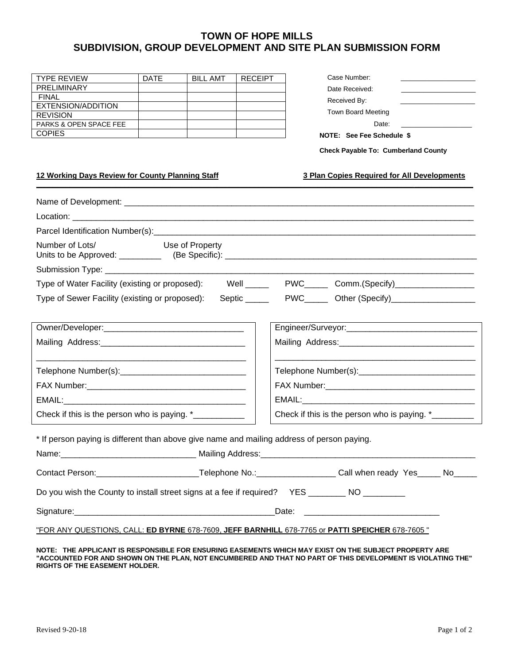# **TOWN OF HOPE MILLS SUBDIVISION, GROUP DEVELOPMENT AND SITE PLAN SUBMISSION FORM**

| <b>TYPE REVIEW</b>                | <b>DATE</b> | <b>BILL AMT</b> | <b>RECEIPT</b> |
|-----------------------------------|-------------|-----------------|----------------|
| <b>PRELIMINARY</b>                |             |                 |                |
| <b>FINAL</b>                      |             |                 |                |
| EXTENSION/ADDITION                |             |                 |                |
| <b>REVISION</b>                   |             |                 |                |
| <b>PARKS &amp; OPEN SPACE FEE</b> |             |                 |                |
| <b>COPIES</b>                     |             |                 |                |
|                                   |             |                 |                |

| Case Number:       |  |
|--------------------|--|
| Date Received:     |  |
| Received By:       |  |
| Town Board Meeting |  |

Date:

### **NOTE: See Fee Schedule \$**

 **Check Payable To: Cumberland County**

#### **12 Working Days Review for County Planning Staff 3 Plan Copies Required for All Developments \_\_\_\_\_\_\_\_\_\_\_\_\_\_\_\_\_\_\_\_\_\_\_\_\_\_\_\_\_\_\_\_\_\_\_\_\_\_\_\_\_\_\_\_\_\_\_\_\_\_\_\_\_\_\_\_\_\_\_\_\_\_\_\_\_\_\_\_\_\_\_\_\_\_\_\_\_\_\_\_\_\_\_\_\_\_\_\_\_\_\_\_\_\_\_\_\_\_\_\_\_\_\_\_**

| Number of Lots/ Use of Property                                                                 |  |  |                                                                                                                   |  |  |
|-------------------------------------------------------------------------------------------------|--|--|-------------------------------------------------------------------------------------------------------------------|--|--|
|                                                                                                 |  |  |                                                                                                                   |  |  |
|                                                                                                 |  |  |                                                                                                                   |  |  |
|                                                                                                 |  |  | Type of Water Facility (existing or proposed): Well _____ PWC____ Comm.(Specify)__________________                |  |  |
| Type of Sewer Facility (existing or proposed):                                                  |  |  |                                                                                                                   |  |  |
|                                                                                                 |  |  |                                                                                                                   |  |  |
|                                                                                                 |  |  |                                                                                                                   |  |  |
|                                                                                                 |  |  |                                                                                                                   |  |  |
|                                                                                                 |  |  |                                                                                                                   |  |  |
|                                                                                                 |  |  |                                                                                                                   |  |  |
|                                                                                                 |  |  |                                                                                                                   |  |  |
|                                                                                                 |  |  |                                                                                                                   |  |  |
| Check if this is the person who is paying. *___________                                         |  |  | Check if this is the person who is paying. *                                                                      |  |  |
|                                                                                                 |  |  |                                                                                                                   |  |  |
| * If person paying is different than above give name and mailing address of person paying.      |  |  |                                                                                                                   |  |  |
|                                                                                                 |  |  |                                                                                                                   |  |  |
|                                                                                                 |  |  | Contact Person: ____________________________Telephone No.: _____________________Call when ready Yes______ No_____ |  |  |
| Do you wish the County to install street signs at a fee if required? YES ________ NO _________  |  |  |                                                                                                                   |  |  |
|                                                                                                 |  |  |                                                                                                                   |  |  |
| "FOR ANY QUESTIONS, CALL: ED BYRNE 678-7609, JEFF BARNHILL 678-7765 or PATTI SPEICHER 678-7605" |  |  |                                                                                                                   |  |  |
|                                                                                                 |  |  | NOTE . THE ADDI ICANT IS DESDONSIBLE EOD ENSLIDING EASEMENTS WHICH MAY EVIST ON THE SLIB IECT DDODEDTV ADE        |  |  |

**NOTE: THE APPLICANT IS RESPONSIBLE FOR ENSURING EASEMENTS WHICH MAY EXIST ON THE SUBJECT PROPERTY ARE "ACCOUNTED FOR AND SHOWN ON THE PLAN, NOT ENCUMBERED AND THAT NO PART OF THIS DEVELOPMENT IS VIOLATING THE" RIGHTS OF THE EASEMENT HOLDER.**